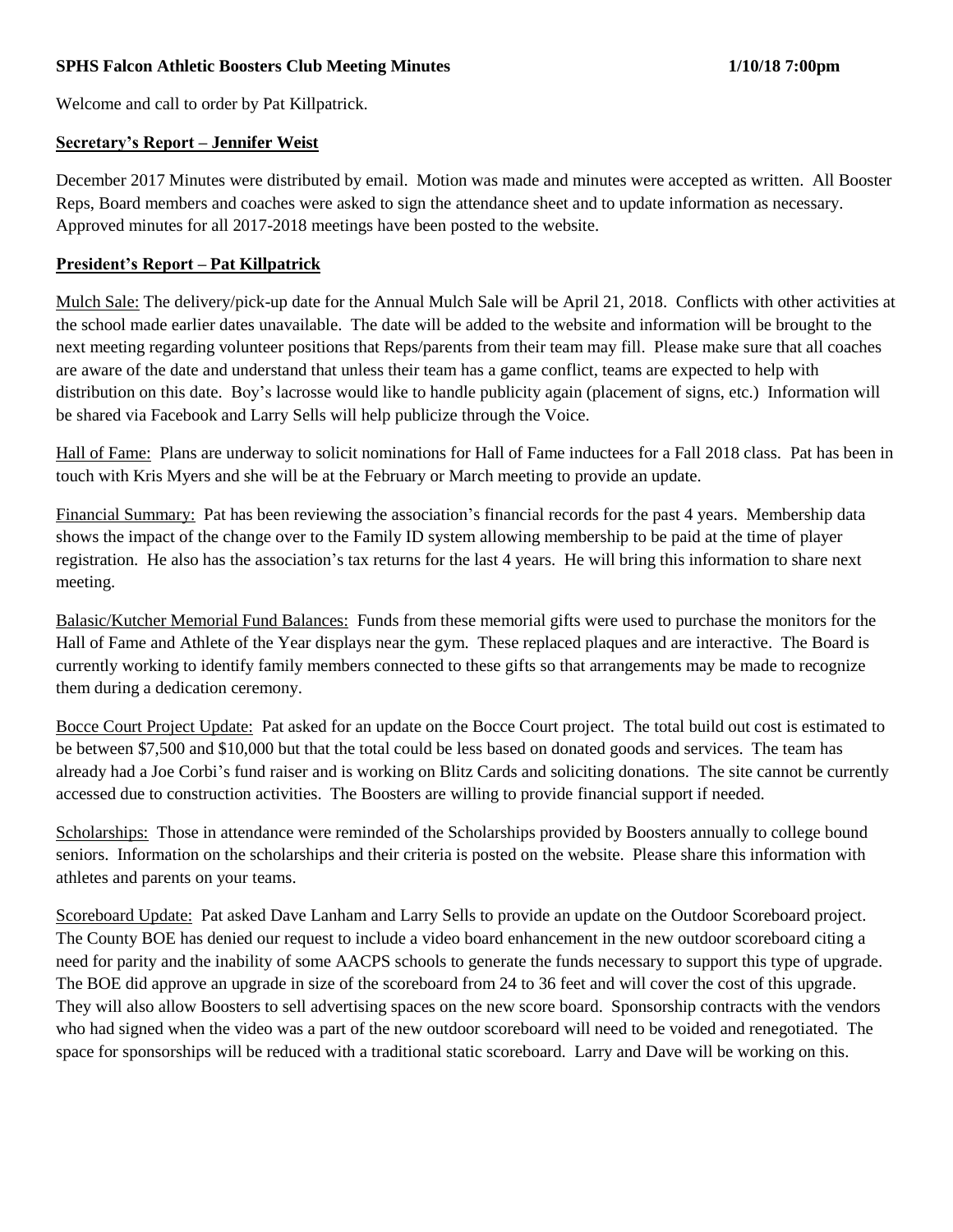# **SPHS Falcon Athletic Boosters Club Meeting Minutes 1/10/18 7:00pm**

Welcome and call to order by Pat Killpatrick.

### **Secretary's Report – Jennifer Weist**

December 2017 Minutes were distributed by email. Motion was made and minutes were accepted as written. All Booster Reps, Board members and coaches were asked to sign the attendance sheet and to update information as necessary. Approved minutes for all 2017-2018 meetings have been posted to the website.

# **President's Report – Pat Killpatrick**

Mulch Sale: The delivery/pick-up date for the Annual Mulch Sale will be April 21, 2018. Conflicts with other activities at the school made earlier dates unavailable. The date will be added to the website and information will be brought to the next meeting regarding volunteer positions that Reps/parents from their team may fill. Please make sure that all coaches are aware of the date and understand that unless their team has a game conflict, teams are expected to help with distribution on this date. Boy's lacrosse would like to handle publicity again (placement of signs, etc.) Information will be shared via Facebook and Larry Sells will help publicize through the Voice.

Hall of Fame: Plans are underway to solicit nominations for Hall of Fame inductees for a Fall 2018 class. Pat has been in touch with Kris Myers and she will be at the February or March meeting to provide an update.

Financial Summary: Pat has been reviewing the association's financial records for the past 4 years. Membership data shows the impact of the change over to the Family ID system allowing membership to be paid at the time of player registration. He also has the association's tax returns for the last 4 years. He will bring this information to share next meeting.

Balasic/Kutcher Memorial Fund Balances: Funds from these memorial gifts were used to purchase the monitors for the Hall of Fame and Athlete of the Year displays near the gym. These replaced plaques and are interactive. The Board is currently working to identify family members connected to these gifts so that arrangements may be made to recognize them during a dedication ceremony.

Bocce Court Project Update: Pat asked for an update on the Bocce Court project. The total build out cost is estimated to be between \$7,500 and \$10,000 but that the total could be less based on donated goods and services. The team has already had a Joe Corbi's fund raiser and is working on Blitz Cards and soliciting donations. The site cannot be currently accessed due to construction activities. The Boosters are willing to provide financial support if needed.

Scholarships: Those in attendance were reminded of the Scholarships provided by Boosters annually to college bound seniors. Information on the scholarships and their criteria is posted on the website. Please share this information with athletes and parents on your teams.

Scoreboard Update: Pat asked Dave Lanham and Larry Sells to provide an update on the Outdoor Scoreboard project. The County BOE has denied our request to include a video board enhancement in the new outdoor scoreboard citing a need for parity and the inability of some AACPS schools to generate the funds necessary to support this type of upgrade. The BOE did approve an upgrade in size of the scoreboard from 24 to 36 feet and will cover the cost of this upgrade. They will also allow Boosters to sell advertising spaces on the new score board. Sponsorship contracts with the vendors who had signed when the video was a part of the new outdoor scoreboard will need to be voided and renegotiated. The space for sponsorships will be reduced with a traditional static scoreboard. Larry and Dave will be working on this.